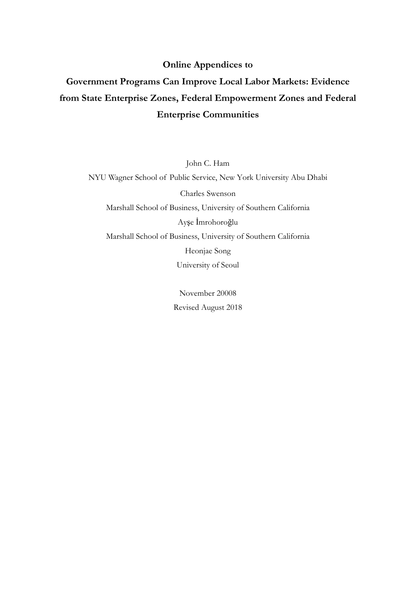#### **Online Appendices to**

# Government Programs Can Improve Local Labor Markets: Evidence from State Enterprise Zones, Federal Empowerment Zones and Federal **Enterprise Communities**

John C. Ham

NYU Wagner School of Public Service, New York University Abu Dhabi

Charles Swenson

Marshall School of Business, University of Southern California

Ayşe İmrohoroğlu

Marshall School of Business, University of Southern California

Heonjae Song

University of Seoul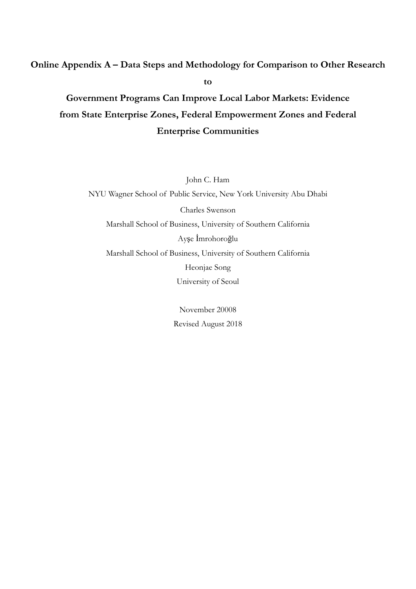### Online Appendix A – Data Steps and Methodology for Comparison to Other Research

to

# Government Programs Can Improve Local Labor Markets: Evidence from State Enterprise Zones, Federal Empowerment Zones and Federal **Enterprise Communities**

John C. Ham

NYU Wagner School of Public Service, New York University Abu Dhabi Charles Swenson Marshall School of Business, University of Southern California Ayşe İmrohoroğlu Marshall School of Business, University of Southern California Heonjae Song University of Seoul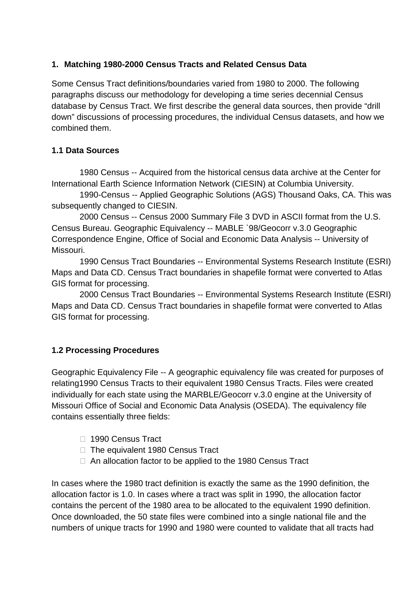## **1. Matching 1980-2000 Census Tracts and Related Census Data**

Some Census Tract definitions/boundaries varied from 1980 to 2000. The following paragraphs discuss our methodology for developing a time series decennial Census database by Census Tract. We first describe the general data sources, then provide "drill down" discussions of processing procedures, the individual Census datasets, and how we combined them.

## **1.1 Data Sources**

1980 Census -- Acquired from the historical census data archive at the Center for International Earth Science Information Network (CIESIN) at Columbia University.

1990-Census -- Applied Geographic Solutions (AGS) Thousand Oaks, CA. This was subsequently changed to CIESIN.

2000 Census -- Census 2000 Summary File 3 DVD in ASCII format from the U.S. Census Bureau. Geographic Equivalency -- MABLE `98/Geocorr v.3.0 Geographic Correspondence Engine, Office of Social and Economic Data Analysis -- University of Missouri.

1990 Census Tract Boundaries -- Environmental Systems Research Institute (ESRI) Maps and Data CD. Census Tract boundaries in shapefile format were converted to Atlas GIS format for processing.

2000 Census Tract Boundaries -- Environmental Systems Research Institute (ESRI) Maps and Data CD. Census Tract boundaries in shapefile format were converted to Atlas GIS format for processing.

## **1.2 Processing Procedures**

Geographic Equivalency File -- A geographic equivalency file was created for purposes of relating1990 Census Tracts to their equivalent 1980 Census Tracts. Files were created individually for each state using the MARBLE/Geocorr v.3.0 engine at the University of Missouri Office of Social and Economic Data Analysis (OSEDA). The equivalency file contains essentially three fields:

- □ 1990 Census Tract
- $\Box$  The equivalent 1980 Census Tract
- $\Box$  An allocation factor to be applied to the 1980 Census Tract

In cases where the 1980 tract definition is exactly the same as the 1990 definition, the allocation factor is 1.0. In cases where a tract was split in 1990, the allocation factor contains the percent of the 1980 area to be allocated to the equivalent 1990 definition. Once downloaded, the 50 state files were combined into a single national file and the numbers of unique tracts for 1990 and 1980 were counted to validate that all tracts had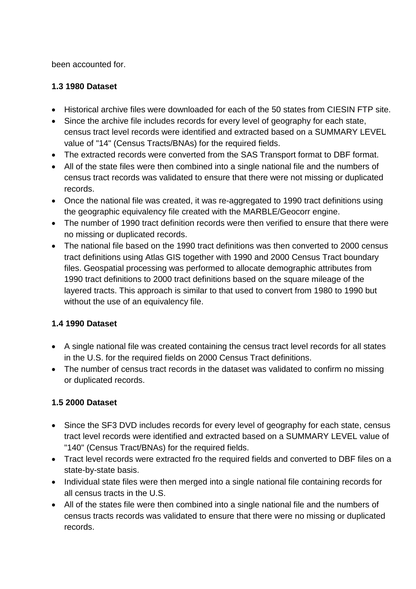been accounted for.

## **1.3 1980 Dataset**

- Historical archive files were downloaded for each of the 50 states from CIESIN FTP site.
- Since the archive file includes records for every level of geography for each state, census tract level records were identified and extracted based on a SUMMARY LEVEL value of "14" (Census Tracts/BNAs) for the required fields.
- The extracted records were converted from the SAS Transport format to DBF format.
- All of the state files were then combined into a single national file and the numbers of census tract records was validated to ensure that there were not missing or duplicated records.
- Once the national file was created, it was re-aggregated to 1990 tract definitions using the geographic equivalency file created with the MARBLE/Geocorr engine.
- The number of 1990 tract definition records were then verified to ensure that there were no missing or duplicated records.
- The national file based on the 1990 tract definitions was then converted to 2000 census tract definitions using Atlas GIS together with 1990 and 2000 Census Tract boundary files. Geospatial processing was performed to allocate demographic attributes from 1990 tract definitions to 2000 tract definitions based on the square mileage of the layered tracts. This approach is similar to that used to convert from 1980 to 1990 but without the use of an equivalency file.

## **1.4 1990 Dataset**

- A single national file was created containing the census tract level records for all states in the U.S. for the required fields on 2000 Census Tract definitions.
- The number of census tract records in the dataset was validated to confirm no missing or duplicated records.

## **1.5 2000 Dataset**

- Since the SF3 DVD includes records for every level of geography for each state, census tract level records were identified and extracted based on a SUMMARY LEVEL value of "140" (Census Tract/BNAs) for the required fields.
- Tract level records were extracted fro the required fields and converted to DBF files on a state-by-state basis.
- Individual state files were then merged into a single national file containing records for all census tracts in the U.S.
- All of the states file were then combined into a single national file and the numbers of census tracts records was validated to ensure that there were no missing or duplicated records.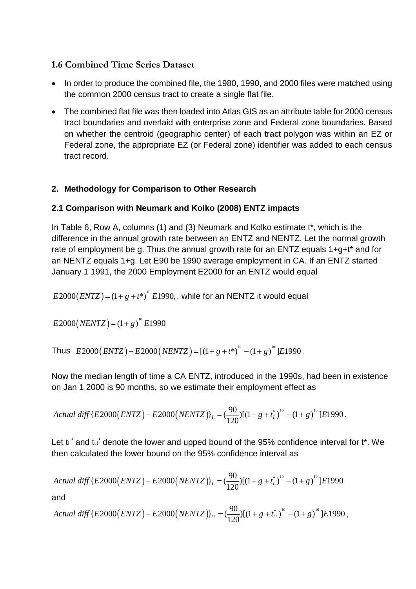## **1.6 Combined Time Series Dataset**

- In order to produce the combined file, the 1980, 1990, and 2000 files were matched using the common 2000 census tract to create a single flat file.
- The combined flat file was then loaded into Atlas GIS as an attribute table for 2000 census tract boundaries and overlaid with enterprise zone and Federal zone boundaries. Based on whether the centroid (geographic center) of each tract polygon was within an EZ or Federal zone, the appropriate EZ (or Federal zone) identifier was added to each census tract record.

## **2. Methodology for Comparison to Other Research**

## **2.1 Comparison with Neumark and Kolko (2008) ENTZ impacts**

In Table 6, Row A, columns (1) and (3) Neumark and Kolko estimate t\*, which is the difference in the annual growth rate between an ENTZ and NENTZ. Let the normal growth rate of employment be g. Thus the annual growth rate for an ENTZ equals 1+g+t\* and for an NENTZ equals 1+g. Let E90 be 1990 average employment in CA. If an ENTZ started January 1 1991, the 2000 Employment E2000 for an ENTZ would equal

 $(E2000 (ENTZ) = (1 + g + t^*)^0 E1990$ , while for an NENTZ it would equal

$$
E2000(NENTZ) = (1+g)^{10} E1990
$$

Thus  $E2000 (ENTZ) - E2000 ( NENTZ ) = [(1 + g + t^*)^0 - (1 + g)^0] E1990$ .

Now the median length of time a CA ENTZ, introduced in the 1990s, had been in existence on Jan 1 2000 is 90 months, so we estimate their employment effect as

Actual diff 
$$
\{E2000(ENTZ) - E2000(NENTZ)\}_L = \left(\frac{90}{120}\right) \left[(1+g+t_L^*)^{10} - (1+g)\right]^0 \left[E1990\right].
$$

Let  $t\mathbf{L}^*$  and  $t\mathbf{U}^*$  denote the lower and upped bound of the 95% confidence interval for  $t^*$ . We then calculated the lower bound on the 95% confidence interval as

Actual diff {E2000(*ENTZ*) – E2000(*NENTZ*)}<sub>L</sub> = 
$$
(\frac{90}{120})[(1+g+t_L^*)^{10}-(1+g)^{10}]E1990
$$

and

Actual diff 
$$
\{E2000(ENTZ) - E2000(NENTZ)\}_U = \left(\frac{90}{120}\right) \left[(1+g+t_U^*)^{10} - (1+g)\right]^0 \left[E1990\right]
$$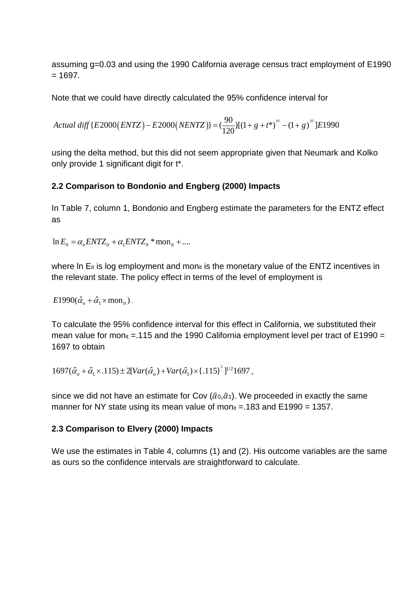assuming g=0.03 and using the 1990 California average census tract employment of E1990  $= 1697$ 

Note that we could have directly calculated the 95% confidence interval for

Actual diff 
$$
\{E2000(ENTZ) - E2000(NENTZ)\} = \left(\frac{90}{120}\right) \left[(1+g+t^*)^{10} - (1+g)\right]^0
$$
 [E1990]

using the delta method, but this did not seem appropriate given that Neumark and Kolko only provide 1 significant digit for t\*.

### **2.2 Comparison to Bondonio and Engberg (2000) Impacts**

In Table 7, column 1, Bondonio and Engberg estimate the parameters for the ENTZ effect as

$$
\ln E_{it} = \alpha_o ENTZ_{it} + \alpha_1 ENTZ_{it} * \text{mon}_{it} + \dots
$$

where In  $E_{it}$  is log employment and mon $_{it}$  is the monetary value of the ENTZ incentives in the relevant state. The policy effect in terms of the level of employment is

 $E1990(\hat{\alpha}_o + \hat{\alpha}_1 \times \text{mon}_{it}).$ 

To calculate the 95% confidence interval for this effect in California, we substituted their mean value for mon<sub>it</sub> = 115 and the 1990 California employment level per tract of E1990 = 1697 to obtain

 $1697(\hat{\alpha}_o + \hat{\alpha}_1 \times .115) \pm 2[Var(\hat{\alpha}_o) + Var(\hat{\alpha}_1) \times [.115]^2]^{1/2}1697$ ,

since we did not have an estimate for Cov  $(\hat{\alpha}_0, \hat{\alpha}_1)$ . We proceeded in exactly the same manner for NY state using its mean value of mon<sub>it</sub> = 183 and E1990 = 1357.

### **2.3 Comparison to Elvery (2000) Impacts**

We use the estimates in Table 4, columns (1) and (2). His outcome variables are the same as ours so the confidence intervals are straightforward to calculate.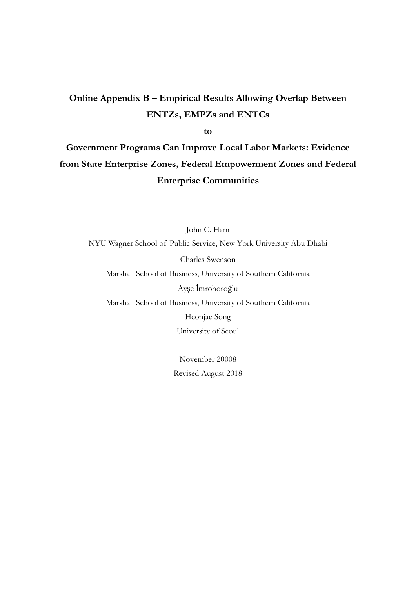## Online Appendix B - Empirical Results Allowing Overlap Between **ENTZs, EMPZs and ENTCs**

to

Government Programs Can Improve Local Labor Markets: Evidence from State Enterprise Zones, Federal Empowerment Zones and Federal **Enterprise Communities** 

John C. Ham NYU Wagner School of Public Service, New York University Abu Dhabi Charles Swenson Marshall School of Business, University of Southern California Ayşe İmrohoroğlu Marshall School of Business, University of Southern California Heonjae Song University of Seoul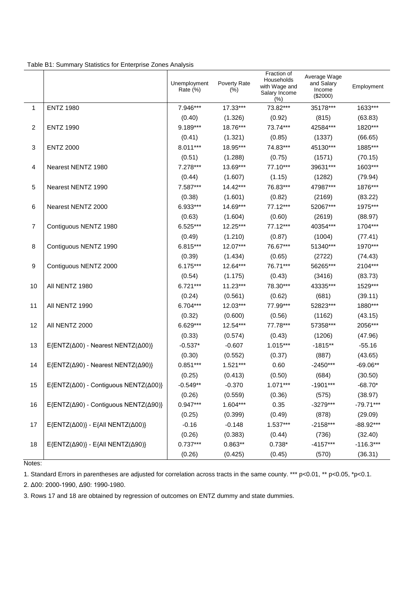| Table B1: Summary Statistics for Enterprise Zones Analysis |  |  |  |
|------------------------------------------------------------|--|--|--|
|------------------------------------------------------------|--|--|--|

|                |                                                                    | Unemployment<br>Rate (%) | Poverty Rate<br>$(\%)$ | Fraction of<br>Households<br>with Wage and<br>Salary Income<br>$(\% )$ | Average Wage<br>and Salary<br>Income<br>$(\$2000)$ | Employment  |
|----------------|--------------------------------------------------------------------|--------------------------|------------------------|------------------------------------------------------------------------|----------------------------------------------------|-------------|
| 1              | <b>ENTZ 1980</b>                                                   | 7.946***                 | 17.33***               | 73.82***                                                               | 35178***                                           | 1633***     |
|                |                                                                    | (0.40)                   | (1.326)                | (0.92)                                                                 | (815)                                              | (63.83)     |
| 2              | <b>ENTZ 1990</b>                                                   | 9.189***                 | 18.76***               | 73.74***                                                               | 42584***                                           | 1820***     |
|                |                                                                    | (0.41)                   | (1.321)                | (0.85)                                                                 | (1337)                                             | (66.65)     |
| 3              | <b>ENTZ 2000</b>                                                   | $8.011***$               | 18.95***               | 74.83***                                                               | 45130***                                           | 1885***     |
|                |                                                                    | (0.51)                   | (1.288)                | (0.75)                                                                 | (1571)                                             | (70.15)     |
| 4              | Nearest NENTZ 1980                                                 | $7.278***$               | 13.69***               | 77.10***                                                               | 39631***                                           | 1603***     |
|                |                                                                    | (0.44)                   | (1.607)                | (1.15)                                                                 | (1282)                                             | (79.94)     |
| 5              | Nearest NENTZ 1990                                                 | 7.587***                 | 14.42***               | 76.83***                                                               | 47987***                                           | 1876***     |
|                |                                                                    | (0.38)                   | (1.601)                | (0.82)                                                                 | (2169)                                             | (83.22)     |
| 6              | Nearest NENTZ 2000                                                 | 6.933***                 | 14.69***               | 77.12***                                                               | 52067***                                           | 1975***     |
|                |                                                                    | (0.63)                   | (1.604)                | (0.60)                                                                 | (2619)                                             | (88.97)     |
| $\overline{7}$ | Contiguous NENTZ 1980                                              | 6.525***                 | 12.25***               | 77.12***                                                               | 40354***                                           | 1704***     |
|                |                                                                    | (0.49)                   | (1.210)                | (0.87)                                                                 | (1004)                                             | (77.41)     |
| 8              | Contiguous NENTZ 1990                                              | $6.815***$               | 12.07***               | 76.67***                                                               | 51340***                                           | 1970***     |
|                |                                                                    | (0.39)                   | (1.434)                | (0.65)                                                                 | (2722)                                             | (74.43)     |
| 9              | Contiguous NENTZ 2000                                              | 6.175***                 | 12.64***               | 76.71***                                                               | 56265***                                           | 2104***     |
|                |                                                                    | (0.54)                   | (1.175)                | (0.43)                                                                 | (3416)                                             | (83.73)     |
| 10             | AII NENTZ 1980                                                     | $6.721***$               | 11.23***               | 78.30***                                                               | 43335***                                           | 1529***     |
|                |                                                                    | (0.24)                   | (0.561)                | (0.62)                                                                 | (681)                                              | (39.11)     |
| 11             | AII NENTZ 1990                                                     | $6.704***$               | 12.03***               | 77.99***                                                               | 52823***                                           | 1880***     |
|                |                                                                    | (0.32)                   | (0.600)                | (0.56)                                                                 | (1162)                                             | (43.15)     |
| 12             | All NENTZ 2000                                                     | 6.629***                 | 12.54***               | 77.78***                                                               | 57358***                                           | 2056***     |
|                |                                                                    | (0.33)                   | (0.574)                | (0.43)                                                                 | (1206)                                             | (47.96)     |
| 13             | E{ENTZ(Δ00) - Nearest NENTZ(Δ00)}                                  | $-0.537*$                | $-0.607$               | $1.015***$                                                             | $-1815**$                                          | $-55.16$    |
|                |                                                                    | (0.30)                   | (0.552)                | (0.37)                                                                 | (887)                                              | (43.65)     |
| 14             | E{ENTZ(Δ90) - Nearest NENTZ(Δ90)}                                  | $0.851***$               | 1.521***               | 0.60                                                                   | $-2450***$                                         | $-69.06**$  |
|                |                                                                    | (0.25)                   | (0.413)                | (0.50)                                                                 | (684)                                              | (30.50)     |
| 15             | E{ENTZ(Δ00) - Contiguous NENTZ(Δ00)}                               | $-0.549**$               | $-0.370$               | $1.071***$                                                             | $-1901***$                                         | $-68.70*$   |
|                |                                                                    | (0.26)                   | (0.559)                | (0.36)                                                                 | (575)                                              | (38.97)     |
| 16             | E{ENTZ(Δ90) - Contiguous NENTZ(Δ90)}                               | $0.947***$               | 1.604***               | 0.35                                                                   | $-3279***$                                         | $-79.71***$ |
|                |                                                                    | (0.25)                   | (0.399)                | (0.49)                                                                 | (878)                                              | (29.09)     |
| 17             | $E\{\text{ENTZ}(\Delta 00)\}$ - $E\{\text{All NENTZ}(\Delta 00)\}$ | $-0.16$                  | $-0.148$               | $1.537***$                                                             | $-2158***$                                         | $-88.92***$ |
|                |                                                                    | (0.26)                   | (0.383)                | (0.44)                                                                 | (736)                                              | (32.40)     |
| 18             | $E\{\text{ENTZ}(\Delta 90)\}-E\{\text{All NENTZ}(\Delta 90)\}\$    | $0.737***$               | $0.863**$              | $0.738*$                                                               | $-4157***$                                         | $-116.3***$ |
|                |                                                                    | (0.26)                   | (0.425)                | (0.45)                                                                 | (570)                                              | (36.31)     |

Notes:

1. Standard Errors in parentheses are adjusted for correlation across tracts in the same county. \*\*\* p<0.01, \*\* p<0.05, \*p<0.1.

2. Δ00: 2000-1990, Δ90: 1990-1980.

3. Rows 17 and 18 are obtained by regression of outcomes on ENTZ dummy and state dummies.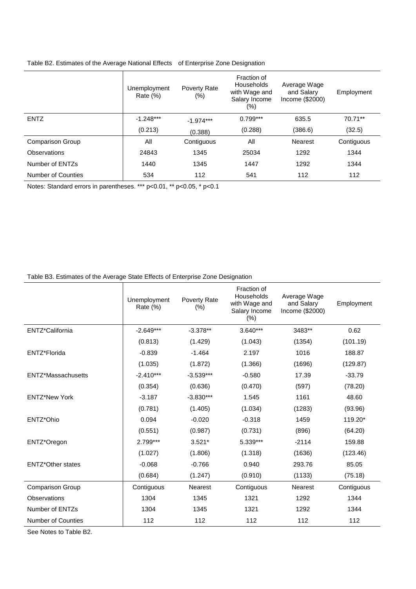|                         | Unemployment<br>Rate $(\%)$ | Poverty Rate<br>$(\%)$ | Fraction of<br>Households<br>with Wage and<br>Salary Income<br>$(\%)$ | Average Wage<br>and Salary<br>Income (\$2000) | Employment |
|-------------------------|-----------------------------|------------------------|-----------------------------------------------------------------------|-----------------------------------------------|------------|
| <b>ENTZ</b>             | $-1.248***$                 | $-1.974***$            | $0.799***$                                                            | 635.5                                         | 70.71**    |
|                         | (0.213)                     | (0.388)                | (0.288)                                                               | (386.6)                                       | (32.5)     |
| <b>Comparison Group</b> | All                         | Contiguous             | All                                                                   | Nearest                                       | Contiguous |
| Observations            | 24843                       | 1345                   | 25034                                                                 | 1292                                          | 1344       |
| Number of ENTZs         | 1440                        | 1345                   | 1447                                                                  | 1292                                          | 1344       |
| Number of Counties      | 534                         | 112                    | 541                                                                   | 112                                           | 112        |

#### Table B2. Estimates of the Average National Effects of Enterprise Zone Designation

Notes: Standard errors in parentheses. \*\*\* p<0.01, \*\* p<0.05, \* p<0.1

#### Table B3. Estimates of the Average State Effects of Enterprise Zone Designation

|                           | Unemployment<br>Rate (%) | Poverty Rate<br>(% ) | Fraction of<br><b>Households</b><br>with Wage and<br>Salary Income<br>(% ) | Average Wage<br>and Salary<br>Income (\$2000) | Employment |
|---------------------------|--------------------------|----------------------|----------------------------------------------------------------------------|-----------------------------------------------|------------|
| ENTZ*California           | $-2.649***$              | $-3.378**$           | 3.640***                                                                   | 3483**                                        | 0.62       |
|                           | (0.813)                  | (1.429)              | (1.043)                                                                    | (1354)                                        | (101.19)   |
| ENTZ*Florida              | $-0.839$                 | $-1.464$             | 2.197                                                                      | 1016                                          | 188.87     |
|                           | (1.035)                  | (1.872)              | (1.366)                                                                    | (1696)                                        | (129.87)   |
| ENTZ*Massachusetts        | $-2.410***$              | $-3.539***$          | $-0.580$                                                                   | 17.39                                         | $-33.79$   |
|                           | (0.354)                  | (0.636)              | (0.470)                                                                    | (597)                                         | (78.20)    |
| <b>ENTZ*New York</b>      | $-3.187$                 | $-3.830***$          | 1.545                                                                      | 1161                                          | 48.60      |
|                           | (0.781)                  | (1.405)              | (1.034)                                                                    | (1283)                                        | (93.96)    |
| ENTZ*Ohio                 | 0.094                    | $-0.020$             | $-0.318$                                                                   | 1459                                          | 119.20*    |
|                           | (0.551)                  | (0.987)              | (0.731)                                                                    | (896)                                         | (64.20)    |
| ENTZ*Oregon               | $2.799***$               | $3.521*$             | 5.339***                                                                   | $-2114$                                       | 159.88     |
|                           | (1.027)                  | (1.806)              | (1.318)                                                                    | (1636)                                        | (123.46)   |
| <b>ENTZ*Other states</b>  | $-0.068$                 | $-0.766$             | 0.940                                                                      | 293.76                                        | 85.05      |
|                           | (0.684)                  | (1.247)              | (0.910)                                                                    | (1133)                                        | (75.18)    |
| <b>Comparison Group</b>   | Contiguous               | <b>Nearest</b>       | Contiguous                                                                 | <b>Nearest</b>                                | Contiguous |
| Observations              | 1304                     | 1345                 | 1321                                                                       | 1292                                          | 1344       |
| Number of ENTZs           | 1304                     | 1345                 | 1321                                                                       | 1292                                          | 1344       |
| <b>Number of Counties</b> | 112                      | 112                  | 112                                                                        | 112                                           | 112        |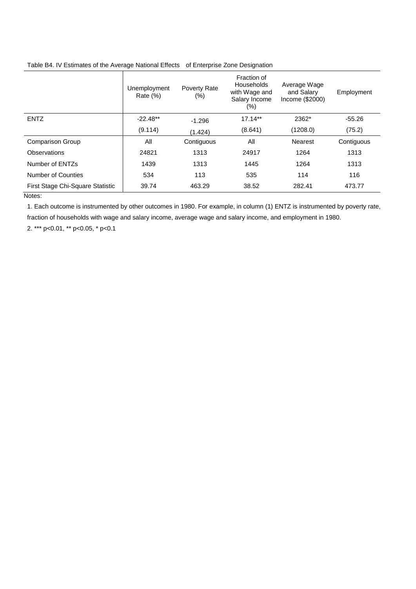|                                  | Unemployment<br>Rate $(\%)$ | Poverty Rate<br>$(\%)$ | Fraction of<br>Households<br>with Wage and<br>Salary Income<br>$(\%)$ | Average Wage<br>and Salary<br>Income (\$2000) | Employment |
|----------------------------------|-----------------------------|------------------------|-----------------------------------------------------------------------|-----------------------------------------------|------------|
| <b>ENTZ</b>                      | $-22.48**$                  | $-1.296$               | $17.14**$                                                             | 2362*                                         | $-55.26$   |
|                                  | (9.114)                     | (1.424)                | (8.641)                                                               | (1208.0)                                      | (75.2)     |
| <b>Comparison Group</b>          | All                         | Contiguous             | All                                                                   | Nearest                                       | Contiguous |
| Observations                     | 24821                       | 1313                   | 24917                                                                 | 1264                                          | 1313       |
| Number of ENTZs                  | 1439                        | 1313                   | 1445                                                                  | 1264                                          | 1313       |
| Number of Counties               | 534                         | 113                    | 535                                                                   | 114                                           | 116        |
| First Stage Chi-Square Statistic | 39.74                       | 463.29                 | 38.52                                                                 | 282.41                                        | 473.77     |

#### Table B4. IV Estimates of the Average National Effects of Enterprise Zone Designation

Notes:

1. Each outcome is instrumented by other outcomes in 1980. For example, in column (1) ENTZ is instrumented by poverty rate, fraction of households with wage and salary income, average wage and salary income, and employment in 1980.

2. \*\*\* p<0.01, \*\* p<0.05, \* p<0.1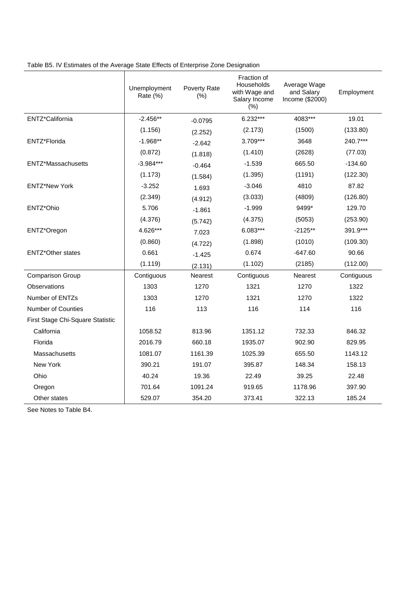|                                  | Unemployment<br>Rate (%) | Poverty Rate<br>(% ) | Fraction of<br>Households<br>with Wage and<br>Salary Income<br>(% ) | Average Wage<br>and Salary<br>Income (\$2000) | Employment |
|----------------------------------|--------------------------|----------------------|---------------------------------------------------------------------|-----------------------------------------------|------------|
| ENTZ*California                  | $-2.456**$               | $-0.0795$            | $6.232***$                                                          | 4083***                                       | 19.01      |
|                                  | (1.156)                  | (2.252)              | (2.173)                                                             | (1500)                                        | (133.80)   |
| ENTZ*Florida                     | $-1.968**$               | $-2.642$             | $3.709***$                                                          | 3648                                          | 240.7***   |
|                                  | (0.872)                  | (1.818)              | (1.410)                                                             | (2628)                                        | (77.03)    |
| ENTZ*Massachusetts               | $-3.984***$              | $-0.464$             | $-1.539$                                                            | 665.50                                        | $-134.60$  |
|                                  | (1.173)                  | (1.584)              | (1.395)                                                             | (1191)                                        | (122.30)   |
| <b>ENTZ*New York</b>             | $-3.252$                 | 1.693                | $-3.046$                                                            | 4810                                          | 87.82      |
|                                  | (2.349)                  | (4.912)              | (3.033)                                                             | (4809)                                        | (126.80)   |
| ENTZ*Ohio                        | 5.706                    | $-1.861$             | $-1.999$                                                            | 9499*                                         | 129.70     |
|                                  | (4.376)                  | (5.742)              | (4.375)                                                             | (5053)                                        | (253.90)   |
| ENTZ*Oregon                      | 4.626***                 | 7.023                | $6.083***$                                                          | $-2125**$                                     | 391.9***   |
|                                  | (0.860)                  | (4.722)              | (1.898)                                                             | (1010)                                        | (109.30)   |
| <b>ENTZ*Other states</b>         | 0.661                    | $-1.425$             | 0.674                                                               | $-647.60$                                     | 90.66      |
|                                  | (1.119)                  | (2.131)              | (1.102)                                                             | (2185)                                        | (112.00)   |
| <b>Comparison Group</b>          | Contiguous               | Nearest              | Contiguous                                                          | <b>Nearest</b>                                | Contiguous |
| Observations                     | 1303                     | 1270                 | 1321                                                                | 1270                                          | 1322       |
| Number of ENTZs                  | 1303                     | 1270                 | 1321                                                                | 1270                                          | 1322       |
| Number of Counties               | 116                      | 113                  | 116                                                                 | 114                                           | 116        |
| First Stage Chi-Square Statistic |                          |                      |                                                                     |                                               |            |
| California                       | 1058.52                  | 813.96               | 1351.12                                                             | 732.33                                        | 846.32     |
| Florida                          | 2016.79                  | 660.18               | 1935.07                                                             | 902.90                                        | 829.95     |
| Massachusetts                    | 1081.07                  | 1161.39              | 1025.39                                                             | 655.50                                        | 1143.12    |
| New York                         | 390.21                   | 191.07               | 395.87                                                              | 148.34                                        | 158.13     |
| Ohio                             | 40.24                    | 19.36                | 22.49                                                               | 39.25                                         | 22.48      |
| Oregon                           | 701.64                   | 1091.24              | 919.65                                                              | 1178.96                                       | 397.90     |
| Other states                     | 529.07                   | 354.20               | 373.41                                                              | 322.13                                        | 185.24     |

Table B5. IV Estimates of the Average State Effects of Enterprise Zone Designation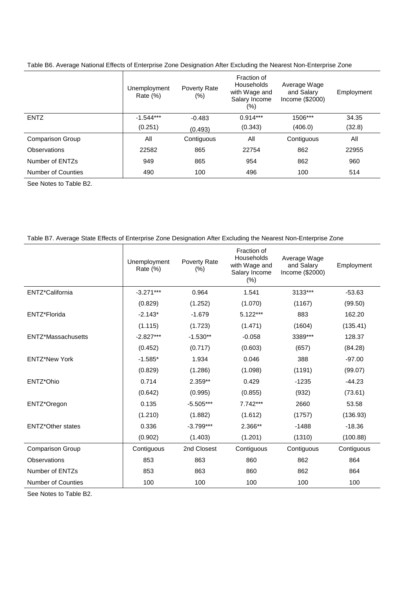| Table B6. Average National Effects of Enterprise Zone Designation After Excluding the Nearest Non-Enterprise Zone |  |  |
|-------------------------------------------------------------------------------------------------------------------|--|--|
|                                                                                                                   |  |  |

|                    | Unemployment<br>Rate $(\%)$ | Poverty Rate<br>(%) | Fraction of<br>Households<br>with Wage and<br>Salary Income<br>(%) | Average Wage<br>and Salary<br>Income (\$2000) | Employment |
|--------------------|-----------------------------|---------------------|--------------------------------------------------------------------|-----------------------------------------------|------------|
| <b>ENTZ</b>        | $-1.544***$                 | $-0.483$            | $0.914***$                                                         | 1506***                                       | 34.35      |
|                    | (0.251)                     | (0.493)             | (0.343)                                                            | (406.0)                                       | (32.8)     |
| Comparison Group   | All                         | Contiguous          | All                                                                | Contiguous                                    | All        |
| Observations       | 22582                       | 865                 | 22754                                                              | 862                                           | 22955      |
| Number of ENTZs    | 949                         | 865                 | 954                                                                | 862                                           | 960        |
| Number of Counties | 490                         | 100                 | 496                                                                | 100                                           | 514        |

See Notes to Table B2.

#### Table B7. Average State Effects of Enterprise Zone Designation After Excluding the Nearest Non-Enterprise Zone

|                          | Unemployment<br>Rate (%) | Poverty Rate<br>(% ) | Fraction of<br>Households<br>with Wage and<br>Salary Income<br>(% ) | Average Wage<br>and Salary<br>Income (\$2000) | Employment |
|--------------------------|--------------------------|----------------------|---------------------------------------------------------------------|-----------------------------------------------|------------|
| ENTZ*California          | $-3.271***$              | 0.964                | 1.541                                                               | 3133***                                       | $-53.63$   |
|                          | (0.829)                  | (1.252)              | (1.070)                                                             | (1167)                                        | (99.50)    |
| ENTZ*Florida             | $-2.143*$                | $-1.679$             | $5.122***$                                                          | 883                                           | 162.20     |
|                          | (1.115)                  | (1.723)              | (1.471)                                                             | (1604)                                        | (135.41)   |
| ENTZ*Massachusetts       | $-2.827***$              | $-1.530**$           | $-0.058$                                                            | 3389***                                       | 128.37     |
|                          | (0.452)                  | (0.717)              | (0.603)                                                             | (657)                                         | (84.28)    |
| <b>ENTZ*New York</b>     | $-1.585*$                | 1.934                | 0.046                                                               | 388                                           | $-97.00$   |
|                          | (0.829)                  | (1.286)              | (1.098)                                                             | (1191)                                        | (99.07)    |
| ENTZ*Ohio                | 0.714                    | $2.359**$            | 0.429                                                               | $-1235$                                       | $-44.23$   |
|                          | (0.642)                  | (0.995)              | (0.855)                                                             | (932)                                         | (73.61)    |
| ENTZ*Oregon              | 0.135                    | $-5.505***$          | $7.742***$                                                          | 2660                                          | 53.58      |
|                          | (1.210)                  | (1.882)              | (1.612)                                                             | (1757)                                        | (136.93)   |
| <b>ENTZ*Other states</b> | 0.336                    | $-3.799***$          | 2.366**                                                             | $-1488$                                       | $-18.36$   |
|                          | (0.902)                  | (1.403)              | (1.201)                                                             | (1310)                                        | (100.88)   |
| <b>Comparison Group</b>  | Contiguous               | 2nd Closest          | Contiguous                                                          | Contiguous                                    | Contiguous |
| Observations             | 853                      | 863                  | 860                                                                 | 862                                           | 864        |
| Number of ENTZs          | 853                      | 863                  | 860                                                                 | 862                                           | 864        |
| Number of Counties       | 100                      | 100                  | 100                                                                 | 100                                           | 100        |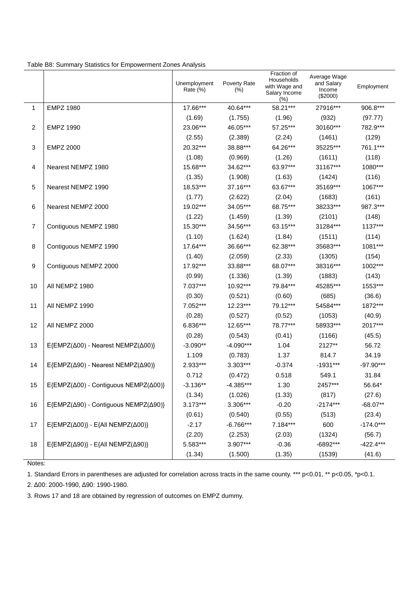|                | rable Do. Ouriniary Oldistics for Empowerment Zones Analysis   | Unemployment<br>Rate $(\%)$ | Poverty Rate<br>$(\%)$ | Fraction of<br>Households<br>with Wage and<br>Salary Income<br>$(\%)$ | Average Wage<br>and Salary<br>Income<br>$(\$2000)$ | Employment  |
|----------------|----------------------------------------------------------------|-----------------------------|------------------------|-----------------------------------------------------------------------|----------------------------------------------------|-------------|
| 1              | <b>EMPZ 1980</b>                                               | 17.66***                    | 40.64***               | 58.21***                                                              | 27916***                                           | 906.8***    |
|                |                                                                | (1.69)                      | (1.755)                | (1.96)                                                                | (932)                                              | (97.77)     |
| $\overline{c}$ | <b>EMPZ 1990</b>                                               | 23.06***                    | 46.05***               | 57.25***                                                              | 30160***                                           | 782.9***    |
|                |                                                                | (2.55)                      | (2.389)                | (2.24)                                                                | (1461)                                             | (129)       |
| $\sqrt{3}$     | <b>EMPZ 2000</b>                                               | 20.32***                    | 38.88***               | 64.26***                                                              | 35225***                                           | 761.1***    |
|                |                                                                | (1.08)                      | (0.969)                | (1.26)                                                                | (1611)                                             | (118)       |
| 4              | Nearest NEMPZ 1980                                             | 15.68***                    | 34.62***               | 63.97***                                                              | 31167***                                           | 1080***     |
|                |                                                                | (1.35)                      | (1.908)                | (1.63)                                                                | (1424)                                             | (116)       |
| 5              | Nearest NEMPZ 1990                                             | 18.53***                    | 37.16***               | 63.67***                                                              | 35169***                                           | 1067***     |
|                |                                                                | (1.77)                      | (2.622)                | (2.04)                                                                | (1683)                                             | (161)       |
| 6              | Nearest NEMPZ 2000                                             | 19.02***                    | 34.05***               | 68.75***                                                              | 38233***                                           | 987.3***    |
|                |                                                                | (1.22)                      | (1.459)                | (1.39)                                                                | (2101)                                             | (148)       |
| $\overline{7}$ | Contiguous NEMPZ 1980                                          | 15.30***                    | 34.56***               | 63.15***                                                              | 31284***                                           | 1137***     |
|                |                                                                | (1.10)                      | (1.624)                | (1.84)                                                                | (1511)                                             | (114)       |
| 8              | Contiguous NEMPZ 1990                                          | 17.64***                    | 36.66***               | 62.38***                                                              | 35683***                                           | 1081***     |
|                |                                                                | (1.40)                      | (2.059)                | (2.33)                                                                | (1305)                                             | (154)       |
| 9              | Contiguous NEMPZ 2000                                          | 17.92***                    | 33.88***               | 68.07***                                                              | 38316***                                           | 1002***     |
|                |                                                                | (0.99)                      | (1.336)                | (1.39)                                                                | (1883)                                             | (143)       |
| 10             | All NEMPZ 1980                                                 | 7.037***                    | 10.92***               | 79.84***                                                              | 45285***                                           | 1553***     |
|                |                                                                | (0.30)                      | (0.521)                | (0.60)                                                                | (685)                                              | (36.6)      |
| 11             | All NEMPZ 1990                                                 | 7.052***                    | 12.23***               | 79.12***                                                              | 54584***                                           | 1872***     |
|                |                                                                | (0.28)                      | (0.527)                | (0.52)                                                                | (1053)                                             | (40.9)      |
| 12             | All NEMPZ 2000                                                 | 6.836***                    | 12.65***               | 78.77***                                                              | 58933***                                           | 2017***     |
|                |                                                                | (0.28)                      | (0.543)                | (0.41)                                                                | (1166)                                             | (45.5)      |
| 13             | E{EMPZ(Δ00) - Nearest NEMPZ(Δ00)}                              | $-3.090**$                  | $-4.090***$            | 1.04                                                                  | 2127**                                             | 56.72       |
|                |                                                                | 1.109                       | (0.783)                | 1.37                                                                  | 814.7                                              | 34.19       |
| 14             | E{EMPZ(Δ90) - Nearest NEMPZ(Δ90)}                              | 2.933***                    | 3.303***               | $-0.374$                                                              | $-1931***$                                         | $-97.90***$ |
|                |                                                                | 0.712                       | (0.472)                | 0.518                                                                 | 549.1                                              | 31.84       |
| 15             | E{EMPZ(Δ00) - Contiguous NEMPZ(Δ00)}                           | $-3.136**$                  | $-4.385***$            | 1.30                                                                  | 2457***                                            | 56.64*      |
|                |                                                                | (1.34)                      | (1.026)                | (1.33)                                                                | (817)                                              | (27.6)      |
| 16             | E{EMPZ(Δ90) - Contiguous NEMPZ(Δ90)}                           | $3.173***$                  | 3.306***               | $-0.20$                                                               | $-2174***$                                         | $-68.07**$  |
|                |                                                                | (0.61)                      | (0.540)                | (0.55)                                                                | (513)                                              | (23.4)      |
| 17             | $E\{\text{EMPZ}(\Delta 00)\}-E\{\text{All NEMPZ}(\Delta 00)\}$ | $-2.17$                     | $-6.766***$            | 7.184***                                                              | 600                                                | $-174.0***$ |
|                |                                                                | (2.20)                      | (2.253)                | (2.03)                                                                | (1324)                                             | (56.7)      |
| 18             | $E\{\text{EMPZ}(\Delta 90)\}-E\{\text{All NEMPZ}(\Delta 90)\}$ | 5.583***                    | 3.907***               | $-0.36$                                                               | -6892***                                           | $-422.4***$ |
|                |                                                                | (1.34)                      | (1.500)                | (1.35)                                                                | (1539)                                             | (41.6)      |

Table B8: Summary Statistics for Empowerment Zones Analysis

Notes:

1. Standard Errors in parentheses are adjusted for correlation across tracts in the same county. \*\*\* p<0.01, \*\* p<0.05, \*p<0.1.

2. Δ00: 2000-1990, Δ90: 1990-1980.

3. Rows 17 and 18 are obtained by regression of outcomes on EMPZ dummy.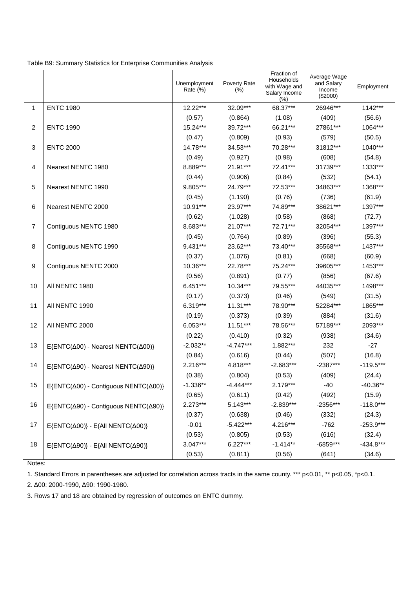|                |                                                                 | Unemployment<br>Rate (%) | Poverty Rate<br>$(\%)$ | Fraction of<br>Households<br>with Wage and<br>Salary Income<br>(%) | Average Wage<br>and Salary<br>Income<br>(\$2000) | Employment  |
|----------------|-----------------------------------------------------------------|--------------------------|------------------------|--------------------------------------------------------------------|--------------------------------------------------|-------------|
| 1              | <b>ENTC 1980</b>                                                | 12.22***                 | 32.09***               | 68.37***                                                           | 26946***                                         | 1142***     |
|                |                                                                 | (0.57)                   | (0.864)                | (1.08)                                                             | (409)                                            | (56.6)      |
| 2              | <b>ENTC 1990</b>                                                | 15.24***                 | 39.72***               | 66.21***                                                           | 27861***                                         | 1064***     |
|                |                                                                 | (0.47)                   | (0.809)                | (0.93)                                                             | (579)                                            | (50.5)      |
| 3              | <b>ENTC 2000</b>                                                | 14.78***                 | 34.53***               | 70.28***                                                           | 31812***                                         | 1040***     |
|                |                                                                 | (0.49)                   | (0.927)                | (0.98)                                                             | (608)                                            | (54.8)      |
| 4              | Nearest NENTC 1980                                              | 8.889***                 | 21.91***               | 72.41***                                                           | 31739***                                         | 1333***     |
|                |                                                                 | (0.44)                   | (0.906)                | (0.84)                                                             | (532)                                            | (54.1)      |
| 5              | Nearest NENTC 1990                                              | 9.805***                 | 24.79***               | 72.53***                                                           | 34863***                                         | 1368***     |
|                |                                                                 | (0.45)                   | (1.190)                | (0.76)                                                             | (736)                                            | (61.9)      |
| 6              | Nearest NENTC 2000                                              | $10.91***$               | 23.97***               | 74.89***                                                           | 38621***                                         | 1397***     |
|                |                                                                 | (0.62)                   | (1.028)                | (0.58)                                                             | (868)                                            | (72.7)      |
| $\overline{7}$ | Contiguous NENTC 1980                                           | 8.683***                 | 21.07***               | 72.71***                                                           | 32054***                                         | 1397***     |
|                |                                                                 | (0.45)                   | (0.764)                | (0.89)                                                             | (396)                                            | (55.3)      |
| 8              | Contiguous NENTC 1990                                           | $9.431***$               | 23.62***               | 73.40***                                                           | 35568***                                         | 1437***     |
|                |                                                                 | (0.37)                   | (1.076)                | (0.81)                                                             | (668)                                            | (60.9)      |
| 9              | Contiguous NENTC 2000                                           | 10.36***                 | 22.78***               | 75.24***                                                           | 39605***                                         | 1453***     |
|                |                                                                 | (0.56)                   | (0.891)                | (0.77)                                                             | (856)                                            | (67.6)      |
| 10             | All NENTC 1980                                                  | $6.451***$               | 10.34***               | 79.55***                                                           | 44035***                                         | 1498***     |
|                |                                                                 | (0.17)                   | (0.373)                | (0.46)                                                             | (549)                                            | (31.5)      |
| 11             | All NENTC 1990                                                  | $6.319***$               | $11.31***$             | 78.90***                                                           | 52284***                                         | 1865***     |
|                |                                                                 | (0.19)                   | (0.373)                | (0.39)                                                             | (884)                                            | (31.6)      |
| 12             | All NENTC 2000                                                  | 6.053***                 | $11.51***$             | 78.56***                                                           | 57189***                                         | 2093***     |
|                |                                                                 | (0.22)                   | (0.410)                | (0.32)                                                             | (938)                                            | (34.6)      |
| 13             | E{ENTC(Δ00) - Nearest NENTC(Δ00)}                               | $-2.032**$               | $-4.747***$            | 1.882***                                                           | 232                                              | $-27$       |
|                |                                                                 | (0.84)                   | (0.616)                | (0.44)                                                             | (507)                                            | (16.8)      |
| 14             | E{ENTC(Δ90) - Nearest NENTC(Δ90)}                               | $2.216***$               | 4.818***               | $-2.683***$                                                        | $-2387***$                                       | $-119.5***$ |
|                |                                                                 | (0.38)                   | (0.804)                | (0.53)                                                             | (409)                                            | (24.4)      |
| 15             | E{ENTC(Δ00) - Contiguous NENTC(Δ00)}                            | $-1.336**$               | $-4.444***$            | 2.179***                                                           | $-40$                                            | $-40.36**$  |
|                |                                                                 | (0.65)                   | (0.611)                | (0.42)                                                             | (492)                                            | (15.9)      |
| 16             | E{ENTC(Δ90) - Contiguous NENTC(Δ90)}                            | $2.273***$               | $5.143***$             | $-2.839***$                                                        | $-2356***$                                       | $-118.0***$ |
|                |                                                                 | (0.37)                   | (0.638)                | (0.46)                                                             | (332)                                            | (24.3)      |
| 17             | $E\{\text{ENTC}(\Delta 00)\}-E\{\text{All NENTC}(\Delta 00)\}\$ | $-0.01$                  | $-5.422***$            | 4.216***                                                           | $-762$                                           | $-253.9***$ |
|                |                                                                 | (0.53)                   | (0.805)                | (0.53)                                                             | (616)                                            | (32.4)      |
| 18             | $E\{\text{ENTC}(\Delta 90)\}-E\{\text{All NENTC}(\Delta 90)\}\$ | $3.047***$               | $6.227***$             | $-1.414**$                                                         | $-6859***$                                       | $-434.8***$ |
|                |                                                                 | (0.53)                   | (0.811)                | (0.56)                                                             | (641)                                            | (34.6)      |

Table B9: Summary Statistics for Enterprise Communities Analysis

Notes:

1. Standard Errors in parentheses are adjusted for correlation across tracts in the same county. \*\*\* p<0.01, \*\* p<0.05, \*p<0.1.

2. Δ00: 2000-1990, Δ90: 1990-1980.

3. Rows 17 and 18 are obtained by regression of outcomes on ENTC dummy.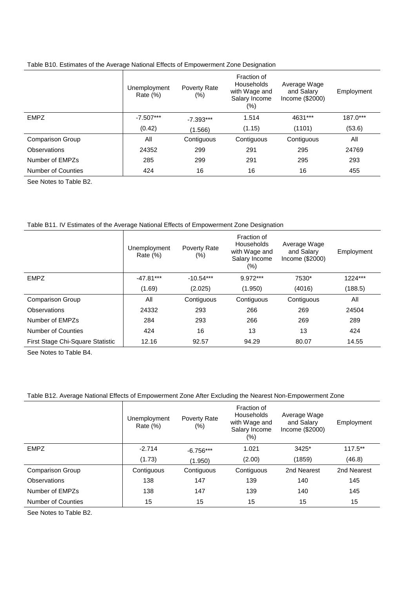|  |  |  | Table B10. Estimates of the Average National Effects of Empowerment Zone Designation |
|--|--|--|--------------------------------------------------------------------------------------|
|  |  |  |                                                                                      |
|  |  |  |                                                                                      |

|                    | Unemployment<br>Rate $(\%)$ | Poverty Rate<br>$(\%)$ | Fraction of<br><b>Households</b><br>with Wage and<br>Salary Income<br>$(\%)$ | Average Wage<br>and Salary<br>Income $(\$2000)$ | Employment |
|--------------------|-----------------------------|------------------------|------------------------------------------------------------------------------|-------------------------------------------------|------------|
| <b>EMPZ</b>        | $-7.507***$                 | $-7.393***$            | 1.514                                                                        | 4631***                                         | 187.0***   |
|                    | (0.42)                      | (1.566)                | (1.15)                                                                       | (1101)                                          | (53.6)     |
| Comparison Group   | All                         | Contiguous             | Contiguous                                                                   | Contiguous                                      | All        |
| Observations       | 24352                       | 299                    | 291                                                                          | 295                                             | 24769      |
| Number of EMPZs    | 285                         | 299                    | 291                                                                          | 295                                             | 293        |
| Number of Counties | 424                         | 16                     | 16                                                                           | 16                                              | 455        |

See Notes to Table B2.

#### Table B11. IV Estimates of the Average National Effects of Empowerment Zone Designation

|                                  | Unemployment<br>Rate $(\%)$ | Poverty Rate<br>$(\%)$ | Fraction of<br><b>Households</b><br>with Wage and<br>Salary Income<br>(%) | Average Wage<br>and Salary<br>Income (\$2000) | Employment |
|----------------------------------|-----------------------------|------------------------|---------------------------------------------------------------------------|-----------------------------------------------|------------|
| <b>EMPZ</b>                      | $-47.81***$                 | $-10.54***$            | 9.972***                                                                  | 7530*                                         | 1224***    |
|                                  | (1.69)                      | (2.025)                | (1.950)                                                                   | (4016)                                        | (188.5)    |
| <b>Comparison Group</b>          | All                         | Contiguous             | Contiguous                                                                | Contiguous                                    | All        |
| Observations                     | 24332                       | 293                    | 266                                                                       | 269                                           | 24504      |
| Number of EMPZs                  | 284                         | 293                    | 266                                                                       | 269                                           | 289        |
| Number of Counties               | 424                         | 16                     | 13                                                                        | 13                                            | 424        |
| First Stage Chi-Square Statistic | 12.16                       | 92.57                  | 94.29                                                                     | 80.07                                         | 14.55      |

See Notes to Table B4.

#### Table B12. Average National Effects of Empowerment Zone After Excluding the Nearest Non-Empowerment Zone

|                         | Unemployment<br>Rate $(\%)$ | Poverty Rate<br>$(\%)$ | Fraction of<br><b>Households</b><br>with Wage and<br>Salary Income<br>(%) | Average Wage<br>and Salary<br>Income (\$2000) | Employment  |
|-------------------------|-----------------------------|------------------------|---------------------------------------------------------------------------|-----------------------------------------------|-------------|
| <b>EMPZ</b>             | $-2.714$                    | $-6.756***$            | 1.021                                                                     | 3425*                                         | $117.5**$   |
|                         | (1.73)                      | (1.950)                | (2.00)                                                                    | (1859)                                        | (46.8)      |
| <b>Comparison Group</b> | Contiguous                  | Contiguous             | Contiguous                                                                | 2nd Nearest                                   | 2nd Nearest |
| Observations            | 138                         | 147                    | 139                                                                       | 140                                           | 145         |
| Number of EMPZs         | 138                         | 147                    | 139                                                                       | 140                                           | 145         |
| Number of Counties      | 15                          | 15                     | 15                                                                        | 15                                            | 15          |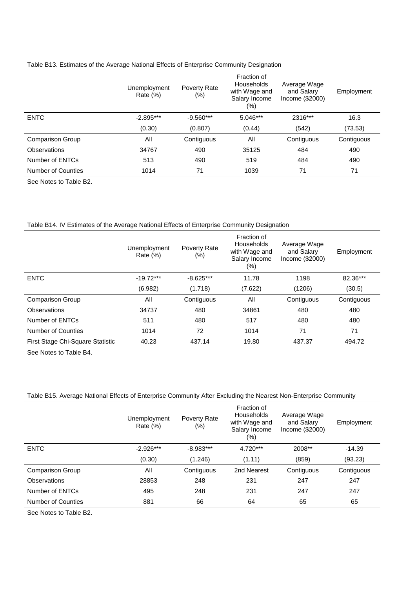|  | Table B13. Estimates of the Average National Effects of Enterprise Community Designation |  |  |  |
|--|------------------------------------------------------------------------------------------|--|--|--|
|  |                                                                                          |  |  |  |
|  |                                                                                          |  |  |  |

|                    | Unemployment<br>Rate $(\%)$ | Poverty Rate<br>$(\%)$ | Fraction of<br><b>Households</b><br>with Wage and<br>Salary Income<br>(%) | Average Wage<br>and Salary<br>Income (\$2000) | Employment |
|--------------------|-----------------------------|------------------------|---------------------------------------------------------------------------|-----------------------------------------------|------------|
| <b>ENTC</b>        | $-2.895***$                 | $-9.560***$            | 5.046***                                                                  | 2316***                                       | 16.3       |
|                    | (0.30)                      | (0.807)                | (0.44)                                                                    | (542)                                         | (73.53)    |
| Comparison Group   | All                         | Contiguous             | All                                                                       | Contiguous                                    | Contiguous |
| Observations       | 34767                       | 490                    | 35125                                                                     | 484                                           | 490        |
| Number of ENTCs    | 513                         | 490                    | 519                                                                       | 484                                           | 490        |
| Number of Counties | 1014                        | 71                     | 1039                                                                      | 71                                            | 71         |

See Notes to Table B2.

#### Table B14. IV Estimates of the Average National Effects of Enterprise Community Designation

|                                  | Unemployment<br>Rate $(\%)$ | Poverty Rate<br>$(\%)$ | Fraction of<br>Households<br>with Wage and<br>Salary Income<br>(%) | Average Wage<br>and Salary<br>Income (\$2000) | Employment |
|----------------------------------|-----------------------------|------------------------|--------------------------------------------------------------------|-----------------------------------------------|------------|
| <b>ENTC</b>                      | $-19.72***$                 | $-8.625***$            | 11.78                                                              | 1198                                          | 82.36***   |
|                                  | (6.982)                     | (1.718)                | (7.622)                                                            | (1206)                                        | (30.5)     |
| <b>Comparison Group</b>          | All                         | Contiguous             | All                                                                | Contiguous                                    | Contiguous |
| Observations                     | 34737                       | 480                    | 34861                                                              | 480                                           | 480        |
| Number of ENTCs                  | 511                         | 480                    | 517                                                                | 480                                           | 480        |
| Number of Counties               | 1014                        | 72                     | 1014                                                               | 71                                            | 71         |
| First Stage Chi-Square Statistic | 40.23                       | 437.14                 | 19.80                                                              | 437.37                                        | 494.72     |

See Notes to Table B4.

#### Table B15. Average National Effects of Enterprise Community After Excluding the Nearest Non-Enterprise Community

|                     | Unemployment<br>Rate $(\%)$ | Poverty Rate<br>$(\%)$ | Fraction of<br>Households<br>with Wage and<br>Salary Income<br>(%) | Average Wage<br>and Salary<br>Income (\$2000) | Employment |
|---------------------|-----------------------------|------------------------|--------------------------------------------------------------------|-----------------------------------------------|------------|
| <b>ENTC</b>         | $-2.926***$                 | $-8.983***$            | $4.720***$                                                         | 2008**                                        | $-14.39$   |
|                     | (0.30)                      | (1.246)                | (1.11)                                                             | (859)                                         | (93.23)    |
| Comparison Group    | All                         | Contiguous             | 2nd Nearest                                                        | Contiguous                                    | Contiguous |
| <b>Observations</b> | 28853                       | 248                    | 231                                                                | 247                                           | 247        |
| Number of ENTCs     | 495                         | 248                    | 231                                                                | 247                                           | 247        |
| Number of Counties  | 881                         | 66                     | 64                                                                 | 65                                            | 65         |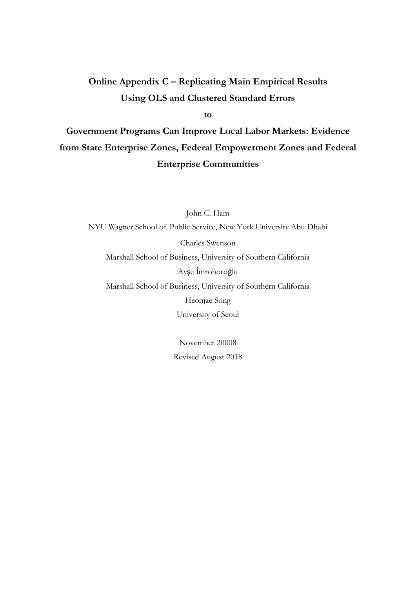# Online Appendix C - Replicating Main Empirical Results **Using OLS and Clustered Standard Errors**

 $\mathbf{t}$ 

Government Programs Can Improve Local Labor Markets: Evidence from State Enterprise Zones, Federal Empowerment Zones and Federal **Enterprise Communities** 

John C. Ham NYU Wagner School of Public Service, New York University Abu Dhabi Charles Swenson Marshall School of Business, University of Southern California Ayşe İmrohoroğlu Marshall School of Business, University of Southern California Heonjae Song University of Seoul